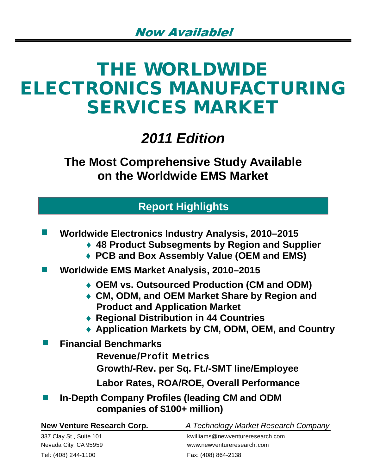# **THE WORLDWIDE ELECTRONICS MANUFACTURING SERVICES MARKET**

## *2011 Edition*

**The Most Comprehensive Study Available on the Worldwide EMS Market**

## **Report Highlights**

| <b>Worldwide Electronics Industry Analysis, 2010–2015</b> |
|-----------------------------------------------------------|
| ◆ 48 Product Subsegments by Region and Supplier           |
| ♦ PCB and Box Assembly Value (OEM and EMS)                |

- **Worldwide EMS Market Analysis, 2010–2015**   $\sim 10$ 
	- **OEM vs. Outsourced Production (CM and ODM)**
	- **CM, ODM, and OEM Market Share by Region and Product and Application Market**
	- **Regional Distribution in 44 Countries**
	- **Application Markets by CM, ODM, OEM, and Country**
- **Financial Benchmarks** 
	- **Revenue/Profit Metrics**
	- **Growth/-Rev. per Sq. Ft./-SMT line/Employee**
	- **Labor Rates, ROA/ROE, Overall Performance**
	- **In-Depth Company Profiles (leading CM and ODM companies of \$100+ million)**

| New Venture Research Corp. | A Technology Market Research Company |
|----------------------------|--------------------------------------|
| 337 Clay St., Suite 101    | kwilliams@newventureresearch.com     |
| Nevada City, CA 95959      | www.newventureresearch.com           |
| Tel: (408) 244-1100        | Fax: (408) 864-2138                  |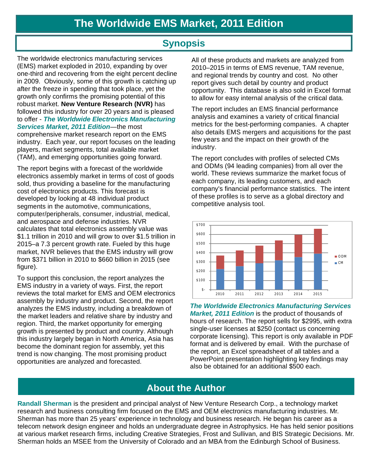## **Synopsis**

The worldwide electronics manufacturing services (EMS) market exploded in 2010, expanding by over one-third and recovering from the eight percent decline in 2009. Obviously, some of this growth is catching up after the freeze in spending that took place, yet the growth only confirms the promising potential of this robust market. **New Venture Research (NVR)** has followed this industry for over 20 years and is pleased to offer - *The Worldwide Electronics Manufacturing Services Market, 2011 Edition*—the most

comprehensive market research report on the EMS industry. Each year, our report focuses on the leading players, market segments, total available market (TAM), and emerging opportunities going forward.

The report begins with a forecast of the worldwide electronics assembly market in terms of cost of goods sold, thus providing a baseline for the manufacturing cost of electronics products. This forecast is developed by looking at 48 individual product segments in the automotive, communications, computer/peripherals, consumer, industrial, medical, and aerospace and defense industries. NVR calculates that total electronics assembly value was \$1.1 trillion in 2010 and will grow to over \$1.5 trillion in 2015–a 7.3 percent growth rate. Fueled by this huge market, NVR believes that the EMS industry will grow from \$371 billion in 2010 to \$660 billion in 2015 (see figure).

To support this conclusion, the report analyzes the EMS industry in a variety of ways. First, the report reviews the total market for EMS and OEM electronics assembly by industry and product. Second, the report analyzes the EMS industry, including a breakdown of the market leaders and relative share by industry and region. Third, the market opportunity for emerging growth is presented by product and country. Although this industry largely began in North America, Asia has become the dominant region for assembly, yet this trend is now changing. The most promising product opportunities are analyzed and forecasted.

All of these products and markets are analyzed from 2010–2015 in terms of EMS revenue, TAM revenue, and regional trends by country and cost. No other report gives such detail by country and product opportunity. This database is also sold in Excel format to allow for easy internal analysis of the critical data.

The report includes an EMS financial performance analysis and examines a variety of critical financial metrics for the best-performing companies. A chapter also details EMS mergers and acquisitions for the past few years and the impact on their growth of the industry.

The report concludes with profiles of selected CMs and ODMs (94 leading companies) from all over the world. These reviews summarize the market focus of each company, its leading customers, and each company's financial performance statistics. The intent of these profiles is to serve as a global directory and competitive analysis tool.



*The Worldwide Electronics Manufacturing Services Market, 2011 Edition* is the product of thousands of hours of research. The report sells for \$2995, with extra single-user licenses at \$250 (contact us concerning corporate licensing). This report is only available in PDF format and is delivered by email. With the purchase of the report, an Excel spreadsheet of all tables and a PowerPoint presentation highlighting key findings may also be obtained for an additional \$500 each.

## **About the Author**

**Randall Sherman** is the president and principal analyst of New Venture Research Corp., a technology market research and business consulting firm focused on the EMS and OEM electronics manufacturing industries. Mr. Sherman has more than 25 years' experience in technology and business research. He began his career as a telecom network design engineer and holds an undergraduate degree in Astrophysics. He has held senior positions at various market research firms, including Creative Strategies, Frost and Sullivan, and BIS Strategic Decisions. Mr. Sherman holds an MSEE from the University of Colorado and an MBA from the Edinburgh School of Business.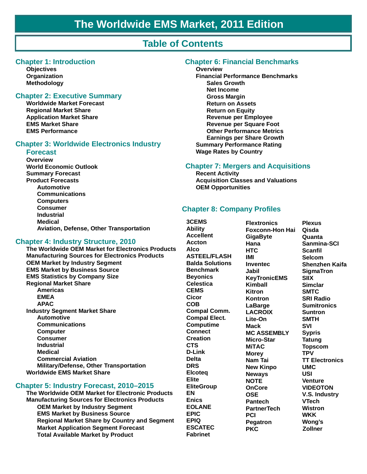## **Table of Contents**

#### **Chapter 1: Introduction**

**Objectives Organization Methodology**

#### **Chapter 2: Executive Summary**

**Worldwide Market Forecast Regional Market Share Application Market Share EMS Market Share EMS Performance**

#### **Chapter 3: Worldwide Electronics Industry**

#### **Forecast**

**Overview World Economic Outlook Summary Forecast Product Forecasts Automotive Communications Computers Consumer Industrial Medical Aviation, Defense, Other Transportation**

#### **Chapter 4: Industry Structure, 2010**

**The Worldwide OEM Market for Electronics Products Manufacturing Sources for Electronics Products OEM Market by Industry Segment EMS Market by Business Source EMS Statistics by Company Size Regional Market Share Americas EMEA APAC Industry Segment Market Share Automotive Communications Computer Consumer Industrial Medical Commercial Aviation Military/Defense, Other Transportation Worldwide EMS Market Share**

#### **Chapter 5: Industry Forecast, 2010–2015**

**The Worldwide OEM Market for Electronic Products Manufacturing Sources for Electronics Products OEM Market by Industry Segment EMS Market by Business Source Regional Market Share by Country and Segment Market Application Segment Forecast Total Available Market by Product**

#### **Chapter 6: Financial Benchmarks**

#### **Overview**

**Financial Performance Benchmarks Sales Growth Net Income Gross Margin Return on Assets Return on Equity Revenue per Employee Revenue per Square Foot Other Performance Metrics Earnings per Share Growth Summary Performance Rating Wage Rates by Country**

#### **Chapter 7: Mergers and Acquisitions**

**Recent Activity Acquisition Classes and Valuations OEM Opportunities**

#### **Chapter 8: Company Profiles**

**3CEMS Ability Accellent Accton Alco ASTEEL/FLASH Balda Solutions Benchmark Beyonics Celestica CEMS Cicor COB Compal Comm. Compal Elect. Computime Connect Creation CTS D-Link Delta DRS Elcoteq Elite EliteGroup EN Enics EOLANE EPIC EPIQ ESCATEC Fabrinet**

**Flextronics Foxconn-Hon Hai GigaByte Hana HTC IMI Inventec Jabil KeyTronicEMS Kimball Kitron Kontron LaBarge LACROIX Lite-On Mack MC ASSEMBLY Micro-Star MiTAC Morey Nam Tai New Kinpo Neways NOTE OnCore OSE Pantech PartnerTech PCI Pegatron PKC**

**Plexus Qisda Quanta Sanmina-SCI Scanfil Selcom Shenzhen Kaifa SigmaTron SIIX Simclar SMTC SRI Radio Sumitronics Suntron SMTH SVI Sypris Tatung Topscom TPV TT Electronics UMC USI Venture VIDEOTON V.S. Industry VTech Wistron WKK Wong's Zollner**